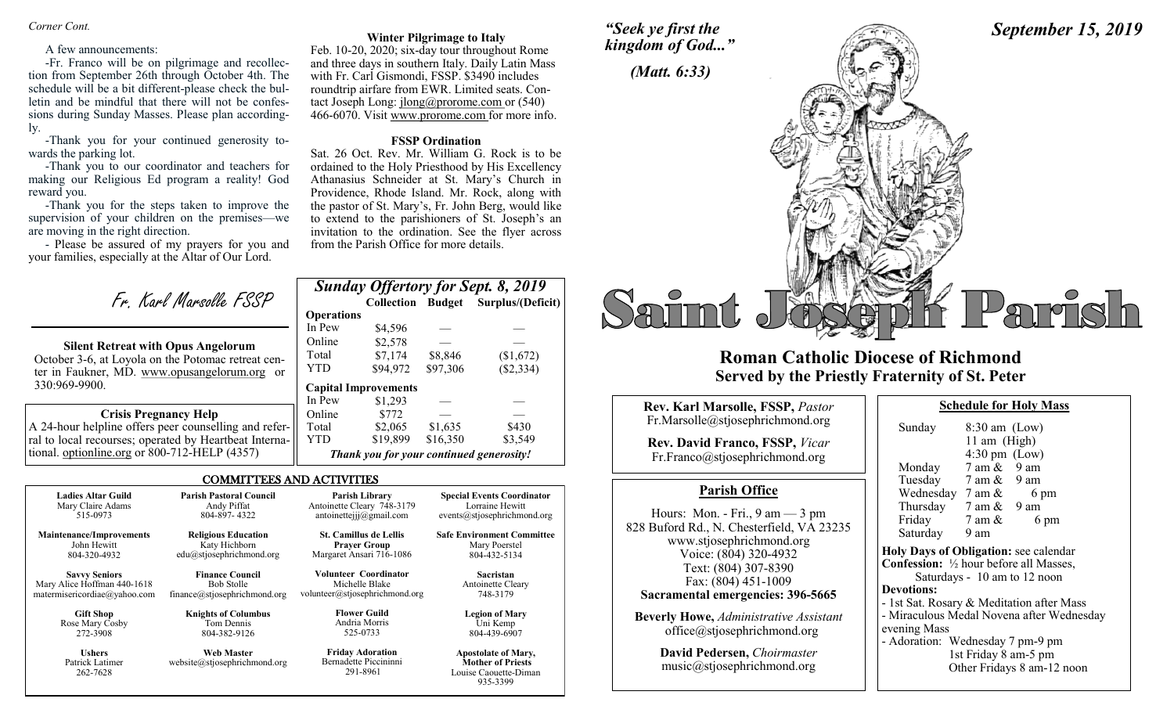*Corner Cont.* 

#### A few announcements:

-Fr. Franco will be on pilgrimage and recollection from September 26th through October 4th. The schedule will be a bit different-please check the bulletin and be mindful that there will not be confessions during Sunday Masses. Please plan accordingly.

-Thank you for your continued generosity towards the parking lot.

-Thank you to our coordinator and teachers for making our Religious Ed program a reality! God reward you.

-Thank you for the steps taken to improve the supervision of your children on the premises—we are moving in the right direction.

- Please be assured of my prayers for you and your families, especially at the Altar of Our Lord.

Fr. Karl Marsolle FSSP

### **Silent Retreat with Opus Angelorum**

October 3-6, at Loyola on the Potomac retreat center in Faukner, MD. www.opusangelorum.org or 330:969-9900.

### **Crisis Pregnancy Help**

A 24-hour helpline offers peer counselling and referral to local recourses; operated by Heartbeat International. optionline.org or 800-712-HELP (4357)

262-7628

#### **Winter Pilgrimage to Italy**

Feb. 10-20, 2020; six-day tour throughout Rome and three days in southern Italy. Daily Latin Mass with Fr. Carl Gismondi, FSSP. \$3490 includes roundtrip airfare from EWR. Limited seats. Contact Joseph Long: jlong@prorome.com or (540) 466-6070. Visit www.prorome.com for more info.

#### **FSSP Ordination**

Sat. 26 Oct. Rev. Mr. William G. Rock is to be ordained to the Holy Priesthood by His Excellency Athanasius Schneider at St. Mary's Church in Providence, Rhode Island. Mr. Rock, along with the pastor of St. Mary's, Fr. John Berg, would like to extend to the parishioners of St. Joseph's an invitation to the ordination. See the flyer across from the Parish Office for more details.

|                   |                                          |          | <b>Sunday Offertory for Sept. 8, 2019</b> |
|-------------------|------------------------------------------|----------|-------------------------------------------|
|                   |                                          |          | Collection Budget Surplus/(Deficit)       |
| <b>Operations</b> |                                          |          |                                           |
| In Pew            | \$4.596                                  |          |                                           |
| Online            | \$2,578                                  |          |                                           |
| Total             | \$7,174                                  | \$8.846  | (\$1,672)                                 |
| <b>YTD</b>        | \$94,972                                 | \$97,306 | (\$2,334)                                 |
|                   | <b>Capital Improvements</b>              |          |                                           |
| In Pew            | \$1,293                                  |          |                                           |
| Online            | \$772                                    |          |                                           |
| Total             | \$2,065                                  | \$1,635  | \$430                                     |
| YTD               | \$19,899                                 | \$16,350 | \$3,549                                   |
|                   | Thank you for your continued generosity! |          |                                           |

Louise Caouette-Diman 935-3399

#### COMMITTEES AND ACTIVITIES

| <b>Ladies Altar Guild</b><br>Mary Claire Adams | <b>Parish Pastoral Council</b><br>Andy Piffat | Parish Library<br>Antoinette Cleary 748-3179         | <b>Special Events Coordinator</b><br>Lorraine Hewitt |
|------------------------------------------------|-----------------------------------------------|------------------------------------------------------|------------------------------------------------------|
| 515-0973                                       | 804-897-4322                                  | antoinetteijj@gmail.com                              | events@stjosephrichmond.org                          |
| <b>Maintenance/Improvements</b><br>John Hewitt | <b>Religious Education</b><br>Katy Hichborn   | <b>St. Camillus de Lellis</b><br><b>Prayer Group</b> | <b>Safe Environment Committee</b><br>Mary Poerstel   |
| 804-320-4932                                   | edu@stjosephrichmond.org                      | Margaret Ansari 716-1086                             | 804-432-5134                                         |
| <b>Savvy Seniors</b>                           | <b>Finance Council</b>                        | <b>Volunteer Coordinator</b>                         | <b>Sacristan</b>                                     |
| Mary Alice Hoffman 440-1618                    | <b>Bob Stolle</b>                             | Michelle Blake                                       | Antoinette Cleary                                    |
| matermisericordiae@yahoo.com                   | finance@stjosephrichmond.org                  | volunteer@stjosephrichmond.org                       | 748-3179                                             |
| <b>Gift Shop</b>                               | <b>Knights of Columbus</b>                    | <b>Flower Guild</b>                                  | <b>Legion of Mary</b>                                |
| Rose Mary Cosby                                | Tom Dennis                                    | Andria Morris                                        | Uni Kemp                                             |
| 272-3908                                       | 804-382-9126                                  | 525-0733                                             | 804-439-6907                                         |
| <b>Ushers</b>                                  | <b>Web Master</b>                             | <b>Friday Adoration</b>                              | <b>Apostolate of Mary,</b>                           |
| Patrick Latimer                                | website@stjosephrichmond.org                  | Bernadette Piccininni                                | <b>Mother of Priests</b>                             |

291-8961





# **Roman Catholic Diocese of Richmond Served by the Priestly Fraternity of St. Peter**

| Rev. Karl Marsolle, FSSP, Pastor<br>Fr.Marsolle@stjosephrichmond.org<br><b>Rev. David Franco, FSSP, Vicar</b><br>Fr.Franco@stjosephrichmond.org<br><b>Parish Office</b><br>Hours: Mon. - Fri., $9 \text{ am} - 3 \text{ pm}$<br>www.stjosephrichmond.org<br>Voice: (804) 320-4932<br>Text: (804) 307-8390<br>Fax: (804) 451-1009<br>Sacramental emergencies: 396-5665<br><b>Beverly Howe, Administrative Assistant</b> | Sun<br>Mot<br>Tue                                                                   |  |
|------------------------------------------------------------------------------------------------------------------------------------------------------------------------------------------------------------------------------------------------------------------------------------------------------------------------------------------------------------------------------------------------------------------------|-------------------------------------------------------------------------------------|--|
|                                                                                                                                                                                                                                                                                                                                                                                                                        | Weo                                                                                 |  |
| 828 Buford Rd., N. Chesterfield, VA 23235                                                                                                                                                                                                                                                                                                                                                                              | Thu<br>Frid<br>Satu<br><b>Holy D</b><br><b>Confes</b><br><b>Devotio</b><br>- 1st Sa |  |
| office@stjosephrichmond.org                                                                                                                                                                                                                                                                                                                                                                                            | - Mirac<br>evening                                                                  |  |
| David Pedersen, Choirmaster                                                                                                                                                                                                                                                                                                                                                                                            | - Adora                                                                             |  |

| <b>David Pedersen, Choirmaster</b> |  |
|------------------------------------|--|
| music@stjosephrichmond.org         |  |

| Sunday                                                   | $8:30$ am $(Low)$       |                                           |
|----------------------------------------------------------|-------------------------|-------------------------------------------|
|                                                          | 11 am $(High)$          |                                           |
|                                                          | $4:30 \text{ pm}$ (Low) |                                           |
| Monday 7 am & 9 am                                       |                         |                                           |
| Tuesday 7 am & 9 am                                      |                         |                                           |
| Wednesday $7 \text{ am } \& 6 \text{ pm}$                |                         |                                           |
| Thursday 7 am & 9 am                                     |                         |                                           |
| Friday $7 \text{ am } \&$                                |                         | 6 pm                                      |
| Saturday 9 am                                            |                         |                                           |
| Holy Days of Obligation: see calendar                    |                         |                                           |
| <b>Confession:</b> $\frac{1}{2}$ hour before all Masses, |                         |                                           |
|                                                          |                         | Saturdays - 10 am to 12 noon              |
| <b>Devotions:</b>                                        |                         |                                           |
| - 1st Sat. Rosary & Meditation after Mass                |                         |                                           |
|                                                          |                         | - Miraculous Medal Novena after Wednesday |
| evening Mass                                             |                         |                                           |
| - Adoration: Wednesday 7 pm-9 pm                         |                         |                                           |
|                                                          | 1st Friday 8 am-5 pm    |                                           |
|                                                          |                         | Other Fridays 8 am-12 noon                |
|                                                          |                         |                                           |

**Schedule for Holy Mass** 

*September 15, 2019*